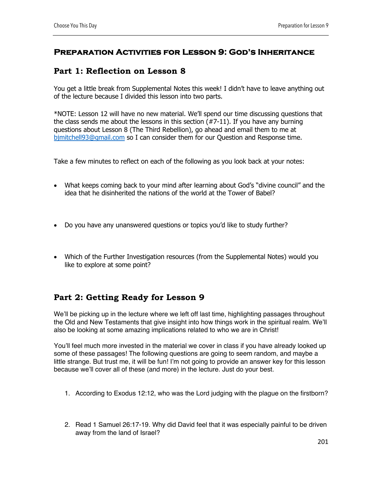## **Preparation Activities for Lesson 9: God's Inheritance**

## **Part 1: Reflection on Lesson 8**

You get a little break from Supplemental Notes this week! I didn't have to leave anything out of the lecture because I divided this lesson into two parts.

\*NOTE: Lesson 12 will have no new material. We'll spend our time discussing questions that the class sends me about the lessons in this section (#7-11). If you have any burning questions about Lesson 8 (The Third Rebellion), go ahead and email them to me at bjmitchell93@gmail.com so I can consider them for our Question and Response time.

Take a few minutes to reflect on each of the following as you look back at your notes:

- What keeps coming back to your mind after learning about God's "divine council" and the idea that he disinherited the nations of the world at the Tower of Babel?
- Do you have any unanswered questions or topics you'd like to study further?
- Which of the Further Investigation resources (from the Supplemental Notes) would you like to explore at some point?

## **Part 2: Getting Ready for Lesson 9**

We'll be picking up in the lecture where we left off last time, highlighting passages throughout the Old and New Testaments that give insight into how things work in the spiritual realm. We'll also be looking at some amazing implications related to who we are in Christ!

You'll feel much more invested in the material we cover in class if you have already looked up some of these passages! The following questions are going to seem random, and maybe a little strange. But trust me, it will be fun! I'm not going to provide an answer key for this lesson because we'll cover all of these (and more) in the lecture. Just do your best.

- 1. According to Exodus 12:12, who was the Lord judging with the plague on the firstborn?
- 2. Read 1 Samuel 26:17-19. Why did David feel that it was especially painful to be driven away from the land of Israel?